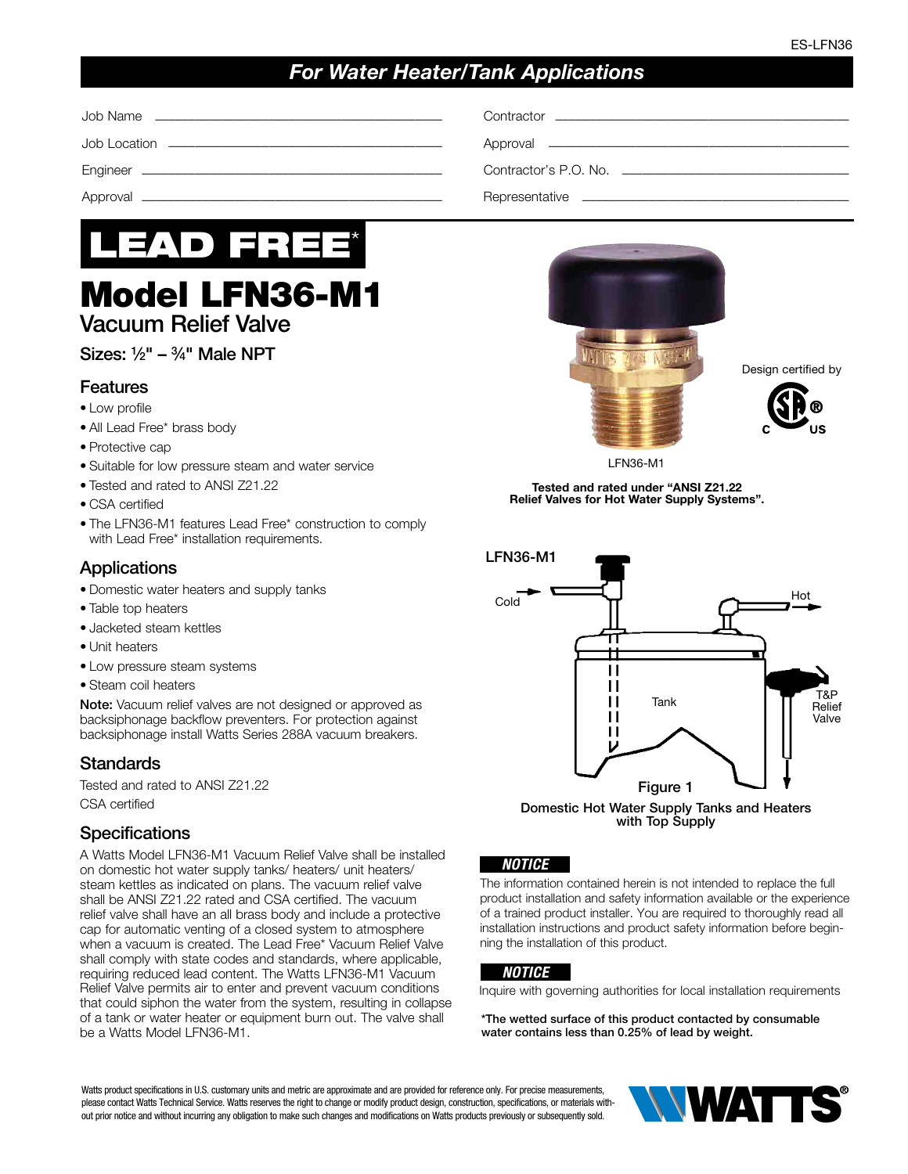# *For Water Heater/Tank Applications*

Job Name ––––––––––––––––––––––––––––––––––––––––––– Contractor ––––––––––––––––––––––––––––––––––––––––––––

Job Location ––––––––––––––––––––––––––––––––––––––––– Approval –––––––––––––––––––––––––––––––––––––––––––––

Engineer ––––––––––––––––––––––––––––––––––––––––––––– Contractor's P.O. No. ––––––––––––––––––––––––––––––––––

Approval ––––––––––––––––––––––––––––––––––––––––––––– Representative ––––––––––––––––––––––––––––––––––––––––



# Model LFN36-M1 Vacuum Relief Valve

# Sizes:  $1/2$ " –  $3/4$ " Male NPT

#### **Features**

- Low profile
- All Lead Free\* brass body
- Protective cap
- Suitable for low pressure steam and water service
- Tested and rated to ANSI Z21.22
- CSA certified
- The LFN36-M1 features Lead Free\* construction to comply with Lead Free\* installation requirements.

### Applications

- Domestic water heaters and supply tanks
- Table top heaters
- Jacketed steam kettles
- Unit heaters
- Low pressure steam systems
- Steam coil heaters

Note: Vacuum relief valves are not designed or approved as backsiphonage backflow preventers. For protection against backsiphonage install Watts Series 288A vacuum breakers.

#### Standards

Tested and rated to ANSI Z21.22 CSA certified

#### **Specifications**

A Watts Model LFN36-M1 Vacuum Relief Valve shall be installed on domestic hot water supply tanks/ heaters/ unit heaters/ steam kettles as indicated on plans. The vacuum relief valve shall be ANSI Z21.22 rated and CSA certified. The vacuum relief valve shall have an all brass body and include a protective cap for automatic venting of a closed system to atmosphere when a vacuum is created. The Lead Free\* Vacuum Relief Valve shall comply with state codes and standards, where applicable, requiring reduced lead content. The Watts LFN36-M1 Vacuum Relief Valve permits air to enter and prevent vacuum conditions that could siphon the water from the system, resulting in collapse of a tank or water heater or equipment burn out. The valve shall be a Watts Model LFN36-M1.



Design certified by



LFN36-M1

Tested and rated under "ANSI Z21.22 Relief Valves for Hot Water Supply Systems".



Domestic Hot Water Supply Tanks and Heaters with Top Supply

#### *NOTICE*

The information contained herein is not intended to replace the full product installation and safety information available or the experience of a trained product installer. You are required to thoroughly read all installation instructions and product safety information before beginning the installation of this product.

#### *NOTICE*

Inquire with governing authorities for local installation requirements

\*The wetted surface of this product contacted by consumable water contains less than 0.25% of lead by weight.

Watts product specifications in U.S. customary units and metric are approximate and are provided for reference only. For precise measurements, please contact Watts Technical Service. Watts reserves the right to change or modify product design, construction, specifications, or materials without prior notice and without incurring any obligation to make such changes and modifications on Watts products previously or subsequently sold.